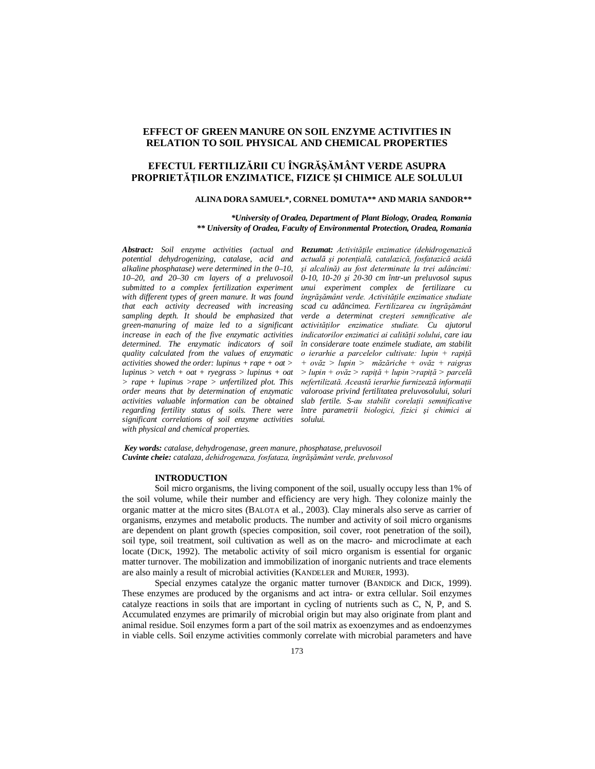## **EFFECT OF GREEN MANURE ON SOIL ENZYME ACTIVITIES IN RELATION TO SOIL PHYSICAL AND CHEMICAL PROPERTIES**

# **EFECTUL FERTILIZĂRII CU ÎNGRĂŞĂMÂNT VERDE ASUPRA PROPRIETĂŢILOR ENZIMATICE, FIZICE ŞI CHIMICE ALE SOLULUI**

#### **ALINA DORA SAMUEL\*, CORNEL DOMUTA\*\* AND MARIA SANDOR\*\***

 *\*University of Oradea, Department of Plant Biology, Oradea, Romania \*\* University of Oradea, Faculty of Environmental Protection, Oradea, Romania*

*Abstract: Soil enzyme activities (actual and Rezumat: Activităţile enzimatice (dehidrogenazică potential dehydrogenizing, catalase, acid and alkaline phosphatase) were determined in the 0–10, 10–20, and 20–30 cm layers of a preluvosoil submitted to a complex fertilization experiment with different types of green manure. It was found that each activity decreased with increasing sampling depth. It should be emphasized that green-manuring of maize led to a significant increase in each of the five enzymatic activities determined. The enzymatic indicators of soil quality calculated from the values of enzymatic activities showed the order: lupinus + rape + oat > lupinus > vetch + oat + ryegrass > lupinus + oat > rape + lupinus >rape > unfertilized plot. This order means that by determination of enzymatic activities valuable information can be obtained regarding fertility status of soils. There were significant correlations of soil enzyme activities with physical and chemical properties.*

*actuală şi potenţială, catalazică, fosfatazică acidă şi alcalină) au fost determinate la trei adâncimi: 0-10, 10-20 şi 20-30 cm într-un preluvosol supus unui experiment complex de fertilizare cu îngrăşământ verde. Activităţile enzimatice studiate scad cu adâncimea. Fertilizarea cu îngrăşământ verde a determinat creşteri semnificative ale activităţilor enzimatice studiate. Cu ajutorul indicatorilor enzimatici ai calităţii solului, care iau în considerare toate enzimele studiate, am stabilit o ierarhie a parcelelor cultivate: lupin + rapiţă + ovăz > lupin > măzăriche + ovăz + raigras > lupin + ovăz > rapiţă + lupin >rapiţă > parcelă nefertilizată. Această ierarhie furnizează informaţii valoroase privind fertilitatea preluvosolului, soluri slab fertile. S-au stabilit corelaţii semnificative între parametrii biologici, fizici şi chimici ai solului.*

*Key words: catalase, dehydrogenase, green manure, phosphatase, preluvosoil Cuvinte cheie: catalaza, dehidrogenaza, fosfataza, îngrăşământ verde, preluvosol*

#### **INTRODUCTION**

Soil micro organisms, the living component of the soil, usually occupy less than 1% of the soil volume, while their number and efficiency are very high. They colonize mainly the organic matter at the micro sites (BALOTA et al., 2003). Clay minerals also serve as carrier of organisms, enzymes and metabolic products. The number and activity of soil micro organisms are dependent on plant growth (species composition, soil cover, root penetration of the soil), soil type, soil treatment, soil cultivation as well as on the macro- and microclimate at each locate (DICK, 1992). The metabolic activity of soil micro organism is essential for organic matter turnover. The mobilization and immobilization of inorganic nutrients and trace elements are also mainly a result of microbial activities (KANDELER and MURER, 1993).

Special enzymes catalyze the organic matter turnover (BANDICK and DICK, 1999). These enzymes are produced by the organisms and act intra- or extra cellular. Soil enzymes catalyze reactions in soils that are important in cycling of nutrients such as C, N, P, and S. Accumulated enzymes are primarily of microbial origin but may also originate from plant and animal residue. Soil enzymes form a part of the soil matrix as exoenzymes and as endoenzymes in viable cells. Soil enzyme activities commonly correlate with microbial parameters and have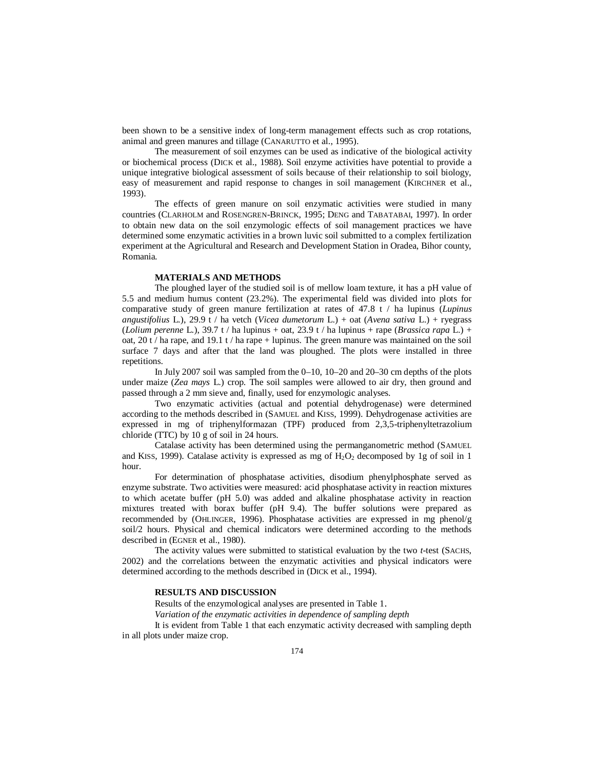been shown to be a sensitive index of long-term management effects such as crop rotations, animal and green manures and tillage (CANARUTTO et al., 1995).

The measurement of soil enzymes can be used as indicative of the biological activity or biochemical process (DICK et al., 1988). Soil enzyme activities have potential to provide a unique integrative biological assessment of soils because of their relationship to soil biology. easy of measurement and rapid response to changes in soil management (KIRCHNER et al., 1993).

The effects of green manure on soil enzymatic activities were studied in many countries (CLARHOLM and ROSENGREN-BRINCK, 1995; DENG and TABATABAI, 1997). In order to obtain new data on the soil enzymologic effects of soil management practices we have determined some enzymatic activities in a brown luvic soil submitted to a complex fertilization experiment at the Agricultural and Research and Development Station in Oradea, Bihor county, Romania.

## **MATERIALS AND METHODS**

The ploughed layer of the studied soil is of mellow loam texture, it has a pH value of 5.5 and medium humus content (23.2%). The experimental field was divided into plots for comparative study of green manure fertilization at rates of 47.8 t / ha lupinus (*Lupinus angustifolius* L.), 29.9 t / ha vetch (*Vicea dumetorum* L.) + oat (*Avena sativa* L.) + ryegrass (*Lolium perenne* L.), 39.7 t / ha lupinus + oat, 23.9 t / ha lupinus + rape (*Brassica rapa* L.) + oat, 20 t / ha rape, and 19.1 t / ha rape + lupinus. The green manure was maintained on the soil surface 7 days and after that the land was ploughed. The plots were installed in three repetitions.

In July 2007 soil was sampled from the 0–10, 10–20 and 20–30 cm depths of the plots under maize (*Zea mays* L.) crop. The soil samples were allowed to air dry, then ground and passed through a 2 mm sieve and, finally, used for enzymologic analyses.

Two enzymatic activities (actual and potential dehydrogenase) were determined according to the methods described in (SAMUEL and KISS, 1999). Dehydrogenase activities are expressed in mg of triphenylformazan (TPF) produced from 2,3,5-triphenyltetrazolium chloride (TTC) by 10 g of soil in 24 hours.

Catalase activity has been determined using the permanganometric method (SAMUEL and KISS, 1999). Catalase activity is expressed as mg of  $H<sub>2</sub>O<sub>2</sub>$  decomposed by 1g of soil in 1 hour.

For determination of phosphatase activities, disodium phenylphosphate served as enzyme substrate. Two activities were measured: acid phosphatase activity in reaction mixtures to which acetate buffer (pH 5.0) was added and alkaline phosphatase activity in reaction mixtures treated with borax buffer (pH 9.4). The buffer solutions were prepared as recommended by (OHLINGER, 1996). Phosphatase activities are expressed in mg phenol/g soil/2 hours. Physical and chemical indicators were determined according to the methods described in (EGNER et al., 1980).

The activity values were submitted to statistical evaluation by the two *t*-test (SACHS, 2002) and the correlations between the enzymatic activities and physical indicators were determined according to the methods described in (DICK et al., 1994).

## **RESULTS AND DISCUSSION**

Results of the enzymological analyses are presented in Table 1.

*Variation of the enzymatic activities in dependence of sampling depth*

It is evident from Table 1 that each enzymatic activity decreased with sampling depth in all plots under maize crop.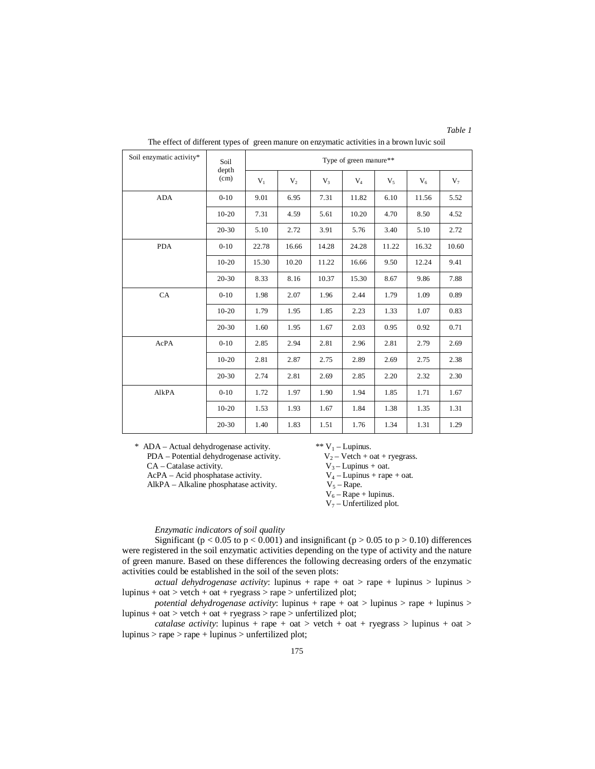*Table 1*

| Soil enzymatic activity* | Soil          | Type of green manure** |       |       |       |       |       |       |  |  |
|--------------------------|---------------|------------------------|-------|-------|-------|-------|-------|-------|--|--|
|                          | depth<br>(cm) | $V_1$                  | $V_2$ | $V_3$ | $V_4$ | $V_5$ | $V_6$ | $V_7$ |  |  |
| <b>ADA</b>               | $0-10$        | 9.01                   | 6.95  | 7.31  | 11.82 | 6.10  | 11.56 | 5.52  |  |  |
|                          | $10-20$       | 7.31                   | 4.59  | 5.61  | 10.20 | 4.70  | 8.50  | 4.52  |  |  |
|                          | $20 - 30$     | 5.10                   | 2.72  | 3.91  | 5.76  | 3.40  | 5.10  | 2.72  |  |  |
| <b>PDA</b>               | $0 - 10$      | 22.78                  | 16.66 | 14.28 | 24.28 | 11.22 | 16.32 | 10.60 |  |  |
|                          | $10 - 20$     | 15.30                  | 10.20 | 11.22 | 16.66 | 9.50  | 12.24 | 9.41  |  |  |
|                          | $20 - 30$     | 8.33                   | 8.16  | 10.37 | 15.30 | 8.67  | 9.86  | 7.88  |  |  |
| CA                       | $0 - 10$      | 1.98                   | 2.07  | 1.96  | 2.44  | 1.79  | 1.09  | 0.89  |  |  |
|                          | $10 - 20$     | 1.79                   | 1.95  | 1.85  | 2.23  | 1.33  | 1.07  | 0.83  |  |  |
|                          | $20 - 30$     | 1.60                   | 1.95  | 1.67  | 2.03  | 0.95  | 0.92  | 0.71  |  |  |
| AcPA                     | $0 - 10$      | 2.85                   | 2.94  | 2.81  | 2.96  | 2.81  | 2.79  | 2.69  |  |  |
|                          | $10 - 20$     | 2.81                   | 2.87  | 2.75  | 2.89  | 2.69  | 2.75  | 2.38  |  |  |
|                          | $20 - 30$     | 2.74                   | 2.81  | 2.69  | 2.85  | 2.20  | 2.32  | 2.30  |  |  |
| AlkPA                    | $0-10$        | 1.72                   | 1.97  | 1.90  | 1.94  | 1.85  | 1.71  | 1.67  |  |  |
|                          | $10-20$       | 1.53                   | 1.93  | 1.67  | 1.84  | 1.38  | 1.35  | 1.31  |  |  |
|                          | $20 - 30$     | 1.40                   | 1.83  | 1.51  | 1.76  | 1.34  | 1.31  | 1.29  |  |  |

The effect of different types of green manure on enzymatic activities in a brown luvic soil

\* ADA – Actual dehydrogenase activity.  $\begin{aligned} \n\text{W}_1 - \text{Lupinus.} \\
\text{PDA} - \text{Potential dehydrogenase activity.} \\
\text{V}_2 - \text{Vetch} + \text{oat} + \text{ryegrass.}\n\end{aligned}$ 

PDA – Potential dehydrogenase activity.

CA – Catalase activity.  $V_3$  – Lupinus + oat.<br>AcPA – Acid phosphatase activity.  $V_4$  – Lupinus + rape + oat.

AcPA – Acid phosphatase activity.  $V_4$  – Lupinus +  $V_5$  – Rape +  $V_5$  – Rape.  $AlkPA - Alkaline phosphatase activity.$ 

 $V_6 - Rape + lupinus.$ 

 $V_7$  – Unfertilized plot.

*Enzymatic indicators of soil quality*

Significant ( $p < 0.05$  to  $p < 0.001$ ) and insignificant ( $p > 0.05$  to  $p > 0.10$ ) differences were registered in the soil enzymatic activities depending on the type of activity and the nature of green manure. Based on these differences the following decreasing orders of the enzymatic activities could be established in the soil of the seven plots:

*actual dehydrogenase activity*: lupinus + rape + oat > rape + lupinus > lupinus > lupinus + oat > vetch + oat + ryegrass > rape > unfertilized plot;

*potential dehydrogenase activity*: lupinus + rape + oat > lupinus > rape + lupinus > lupinus + oat > vetch + oat + ryegrass > rape > unfertilized plot;

*catalase activity*: lupinus + rape + oat > vetch + oat + ryegrass > lupinus + oat > lupinus > rape > rape + lupinus > unfertilized plot;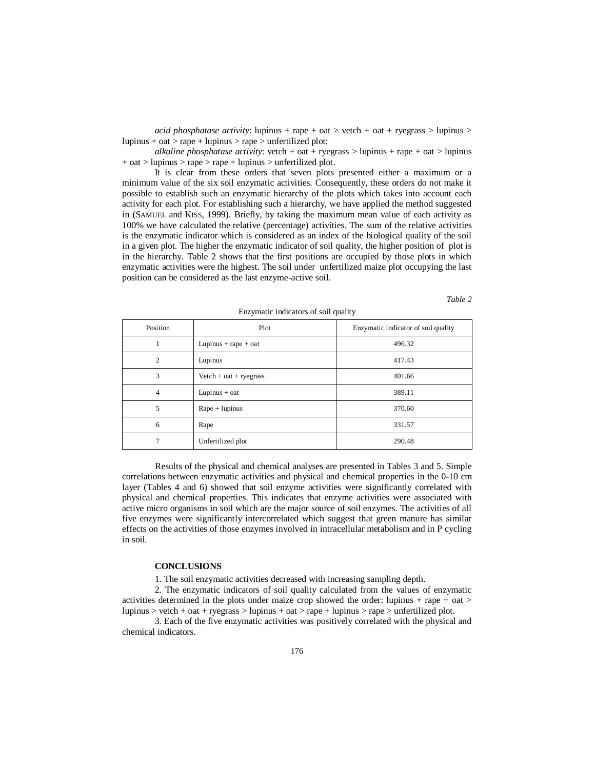*acid phosphatase activity*: lupinus + rape + oat > vetch + oat + ryegrass > lupinus > lupinus + oat > rape + lupinus > rape > unfertilized plot;

*alkaline phosphatase activity*: vetch + oat + ryegrass > lupinus + rape + oat > lupinus  $+$  oat  $>$  lupinus  $>$  rape  $>$  rape  $+$  lupinus  $>$  unfertilized plot.

It is clear from these orders that seven plots presented either a maximum or a minimum value of the six soil enzymatic activities. Consequently, these orders do not make it possible to establish such an enzymatic hierarchy of the plots which takes into account each activity for each plot. For establishing such a hierarchy, we have applied the method suggested in (SAMUEL and KISS, 1999). Briefly, by taking the maximum mean value of each activity as 100% we have calculated the relative (percentage) activities. The sum of the relative activities is the enzymatic indicator which is considered as an index of the biological quality of the soil in a given plot. The higher the enzymatic indicator of soil quality, the higher position of plot is in the hierarchy. Table 2 shows that the first positions are occupied by those plots in which enzymatic activities were the highest. The soil under unfertilized maize plot occupying the last position can be considered as the last enzyme-active soil.

*Table 2*

| Position | Plot                    | Enzymatic indicator of soil quality |
|----------|-------------------------|-------------------------------------|
|          | Lupinus + rape + oat    | 496.32                              |
| 2        | Lupinus                 | 417.43                              |
| 3        | $Vert + oat + ryegrass$ | 401.66                              |
| 4        | Lupinus $+$ oat         | 389.11                              |
| 5        | $Rape + lupinus$        | 370.60                              |
| 6        | Rape                    | 331.57                              |
| 7        | Unfertilized plot       | 290.48                              |

Enzymatic indicators of soil quality

Results of the physical and chemical analyses are presented in Tables 3 and 5. Simple correlations between enzymatic activities and physical and chemical properties in the 0-10 cm layer (Tables 4 and 6) showed that soil enzyme activities were significantly correlated with physical and chemical properties. This indicates that enzyme activities were associated with active micro organisms in soil which are the major source of soil enzymes. The activities of all five enzymes were significantly intercorrelated which suggest that green manure has similar effects on the activities of those enzymes involved in intracellular metabolism and in P cycling in soil.

### **CONCLUSIONS**

1. The soil enzymatic activities decreased with increasing sampling depth.

2. The enzymatic indicators of soil quality calculated from the values of enzymatic activities determined in the plots under maize crop showed the order: lupinus + rape + oat  $>$ lupinus > vetch + oat + ryegrass > lupinus + oat > rape + lupinus > rape > unfertilized plot.

3. Each of the five enzymatic activities was positively correlated with the physical and chemical indicators.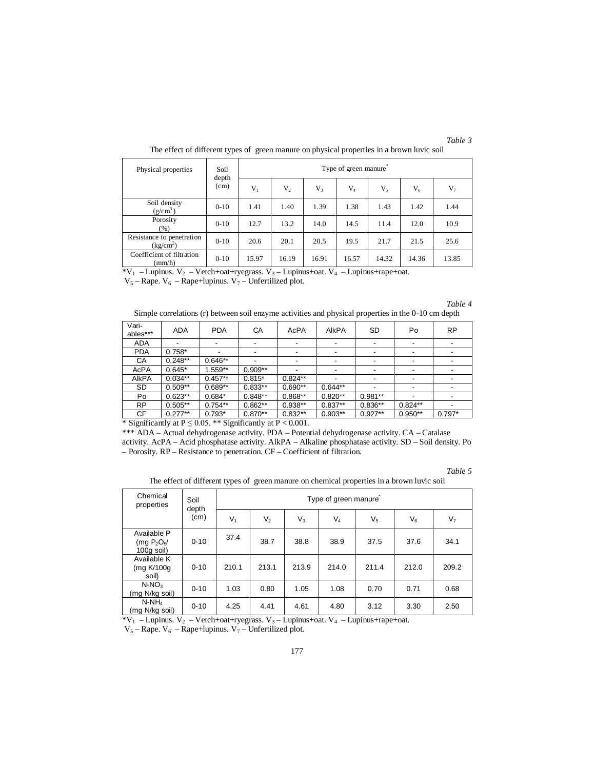| anı |  |
|-----|--|
|     |  |

| Physical properties                                | Soil<br>depth<br>(cm) | Type of green manure |       |                |       |       |       |       |  |  |
|----------------------------------------------------|-----------------------|----------------------|-------|----------------|-------|-------|-------|-------|--|--|
|                                                    |                       | $V_1$                | $V_2$ | V <sub>3</sub> | $V_4$ | $V_5$ | $V_6$ | $V_7$ |  |  |
| Soil density<br>(g/cm <sup>3</sup> )               | $0 - 10$              | 1.41                 | 1.40  | 1.39           | 1.38  | 1.43  | 1.42  | 1.44  |  |  |
| Porosity<br>(%)                                    | $0 - 10$              | 12.7                 | 13.2  | 14.0           | 14.5  | 11.4  | 12.0  | 10.9  |  |  |
| Resistance to penetration<br>(kg/cm <sup>2</sup> ) | $0 - 10$              | 20.6                 | 20.1  | 20.5           | 19.5  | 21.7  | 21.5  | 25.6  |  |  |
| Coefficient of filtration<br>(mm/h)                | $0 - 10$              | 15.97                | 16.19 | 16.91          | 16.57 | 14.32 | 14.36 | 13.85 |  |  |

The effect of different types of green manure on physical properties in a brown luvic soil

 $*V_1$  – Lupinus.  $V_2$  – Vetch+oat+ryegrass.  $V_3$  – Lupinus+oat.  $V_4$  – Lupinus+rape+oat.

 $V_5 - Rape. V_6 - Rape+lupinus. V_7 - Unfertilized plot.$ 

Simple correlations (r) between soil enzyme activities and physical properties in the 0-10 cm depth

| Vari-<br>ables*** | <b>ADA</b> | <b>PDA</b> | CA        | AcPA                     | AIKPA     | SD        | Po                       | <b>RP</b> |
|-------------------|------------|------------|-----------|--------------------------|-----------|-----------|--------------------------|-----------|
| <b>ADA</b>        |            |            |           |                          |           |           |                          |           |
| <b>PDA</b>        | $0.758*$   |            |           | $\overline{\phantom{0}}$ |           |           | $\overline{\phantom{a}}$ |           |
| СA                | $0.248**$  | $0.646**$  |           | $\overline{\phantom{0}}$ |           |           | $\overline{\phantom{a}}$ |           |
| AcPA              | $0.645*$   | $1.559**$  | $0.909**$ |                          |           |           |                          |           |
| <b>AIKPA</b>      | $0.034**$  | $0.457**$  | $0.815*$  | $0.824**$                |           |           |                          |           |
| SD                | $0.509**$  | $0.689**$  | $0.833**$ | $0.690**$                | $0.644**$ |           | $\overline{\phantom{a}}$ |           |
| Po                | $0.623**$  | $0.684*$   | $0.848**$ | $0.868**$                | $0.820**$ | $0.981**$ |                          |           |
| <b>RP</b>         | $0.505**$  | $0.754**$  | $0.862**$ | $0.938**$                | $0.837**$ | $0.836**$ | $0.824**$                |           |
| СF                | $0.277**$  | $0.793*$   | $0.870**$ | $0.832**$                | $0.903**$ | $0.927**$ | $0.950**$                | $0.797*$  |

\* Significantly at  $P \le 0.05$ . \*\* Significantly at  $P < 0.001$ .

\*\*\* ADA – Actual dehydrogenase activity. PDA – Potential dehydrogenase activity. CA – Catalase activity. AcPA – Acid phosphatase activity. AlkPA – Alkaline phosphatase activity. SD – Soil density. Po – Porosity. RP – Resistance to penetration. CF – Coefficient of filtration.

*Table 5*

The effect of different types of green manure on chemical properties in a brown luvic soil

| Chemical<br>properties                                          | Soil<br>depth | Type of green manure |                |       |       |                |         |                |  |
|-----------------------------------------------------------------|---------------|----------------------|----------------|-------|-------|----------------|---------|----------------|--|
|                                                                 | (cm)          | $V_1$                | V <sub>2</sub> | $V_3$ | $V_4$ | V <sub>5</sub> | $V_{6}$ | V <sub>7</sub> |  |
| Available P<br>(mqP <sub>2</sub> O <sub>5</sub><br>$100a$ soil) | $0 - 10$      | 37.4                 | 38.7           | 38.8  | 38.9  | 37.5           | 37.6    | 34.1           |  |
| Available K<br>(mg K/100g<br>soil)                              | $0 - 10$      | 210.1                | 213.1          | 213.9 | 214.0 | 211.4          | 212.0   | 209.2          |  |
| $N-NO3$<br>(mg N/kg soil)                                       | $0 - 10$      | 1.03                 | 0.80           | 1.05  | 1.08  | 0.70           | 0.71    | 0.68           |  |
| $N-NH_4$<br>(mg N/kg soil)                                      | $0 - 10$      | 4.25                 | 4.41           | 4.61  | 4.80  | 3.12           | 3.30    | 2.50           |  |

\*V<sub>1</sub> – Lupinus. V<sub>2</sub> – Vetch+oat+ryegrass. V<sub>3</sub> – Lupinus+oat. V<sub>4</sub> – Lupinus+rape+oat.

 $V_5 - R$ ape.  $V_6 - R$ ape+lupinus.  $V_7 -$ Unfertilized plot.